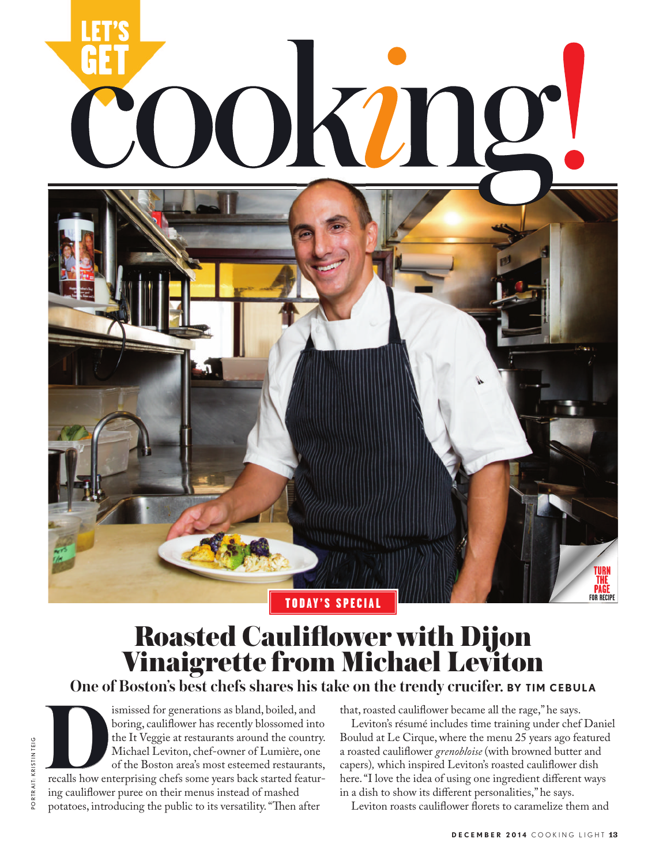

# Roasted Cauliflower with Dijon Vinaigrette from Michael Leviton

PORTRAIT: KRISTIN TEIG portrait: kristin teig **One of Boston's best chefs shares his take on the trendy crucifer. BY TIM CEBULA**<br>
ismissed for generations as bland, boiled, and that, roasted cauliflower became all the rage," he says.<br>
boring, cauliflower has recently ismissed for generations as bland, boiled, and boring, cauliflower has recently blossomed into the It Veggie at restaurants around the country. Michael Leviton, chef-owner of Lumière, one of the Boston area's most esteemed restaurants, recalls how enterprising chefs some years back started featuring cauliflower puree on their menus instead of mashed potatoes, introducing the public to its versatility. "Then after

that, roasted cauliflower became all the rage," he says.

Leviton's résumé includes time training under chef Daniel Boulud at Le Cirque, where the menu 25 years ago featured a roasted cauliflower *grenobloise* (with browned butter and capers)*,* which inspired Leviton's roasted cauliflower dish here. "I love the idea of using one ingredient different ways in a dish to show its different personalities," he says.

Leviton roasts cauliflower florets to caramelize them and